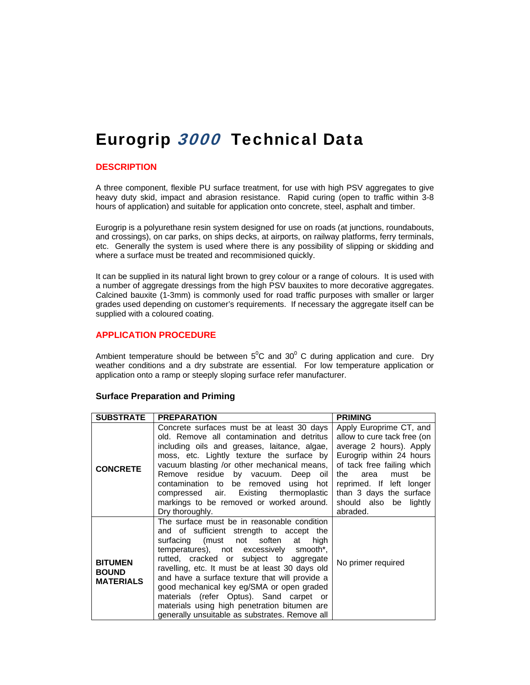# Eurogrip 3000 Technical Data

# **DESCRIPTION**

A three component, flexible PU surface treatment, for use with high PSV aggregates to give heavy duty skid, impact and abrasion resistance. Rapid curing (open to traffic within 3-8 hours of application) and suitable for application onto concrete, steel, asphalt and timber.

Eurogrip is a polyurethane resin system designed for use on roads (at junctions, roundabouts, and crossings), on car parks, on ships decks, at airports, on railway platforms, ferry terminals, etc. Generally the system is used where there is any possibility of slipping or skidding and where a surface must be treated and recommisioned quickly.

It can be supplied in its natural light brown to grey colour or a range of colours. It is used with a number of aggregate dressings from the high PSV bauxites to more decorative aggregates. Calcined bauxite (1-3mm) is commonly used for road traffic purposes with smaller or larger grades used depending on customer's requirements. If necessary the aggregate itself can be supplied with a coloured coating.

# **APPLICATION PROCEDURE**

Ambient temperature should be between  $5^0C$  and  $30^0$  C during application and cure. Dry weather conditions and a dry substrate are essential. For low temperature application or application onto a ramp or steeply sloping surface refer manufacturer.

| <b>SUBSTRATE</b>                                   | <b>PREPARATION</b>                                                                                                                                                                                                                                                                                                                                                                                                                                                                                                                    | <b>PRIMING</b>                                                                                                                                                                                                                                                        |
|----------------------------------------------------|---------------------------------------------------------------------------------------------------------------------------------------------------------------------------------------------------------------------------------------------------------------------------------------------------------------------------------------------------------------------------------------------------------------------------------------------------------------------------------------------------------------------------------------|-----------------------------------------------------------------------------------------------------------------------------------------------------------------------------------------------------------------------------------------------------------------------|
| <b>CONCRETE</b>                                    | Concrete surfaces must be at least 30 days<br>old. Remove all contamination and detritus<br>including oils and greases, laitance, algae,<br>moss, etc. Lightly texture the surface by<br>vacuum blasting /or other mechanical means,<br>Remove residue by vacuum. Deep oil<br>contamination to be removed using hot<br>compressed air. Existing thermoplastic<br>markings to be removed or worked around.<br>Dry thoroughly.                                                                                                          | Apply Europrime CT, and<br>allow to cure tack free (on<br>average 2 hours). Apply<br>Eurogrip within 24 hours<br>of tack free failing which<br>area<br>must<br>be<br>the<br>reprimed. If left longer<br>than 3 days the surface<br>should also be lightly<br>abraded. |
| <b>BITUMEN</b><br><b>BOUND</b><br><b>MATERIALS</b> | The surface must be in reasonable condition<br>and of sufficient strength to accept the<br>surfacing (must not soften<br>high<br>at<br>temperatures), not excessively smooth <sup>*</sup> ,<br>rutted, cracked or subject to aggregate<br>ravelling, etc. It must be at least 30 days old<br>and have a surface texture that will provide a<br>good mechanical key eg/SMA or open graded<br>materials (refer Optus). Sand carpet or<br>materials using high penetration bitumen are<br>generally unsuitable as substrates. Remove all | No primer required                                                                                                                                                                                                                                                    |

#### **Surface Preparation and Priming**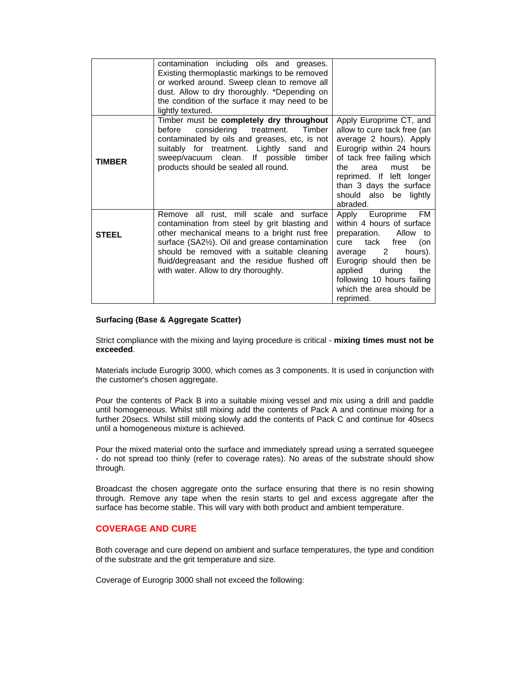|              | contamination including oils and greases.<br>Existing thermoplastic markings to be removed<br>or worked around. Sweep clean to remove all<br>dust. Allow to dry thoroughly. *Depending on<br>the condition of the surface it may need to be<br>lightly textured.                                                                 |                                                                                                                                                                                                                                                                       |
|--------------|----------------------------------------------------------------------------------------------------------------------------------------------------------------------------------------------------------------------------------------------------------------------------------------------------------------------------------|-----------------------------------------------------------------------------------------------------------------------------------------------------------------------------------------------------------------------------------------------------------------------|
| TIMBER       | Timber must be completely dry throughout<br>considering treatment.<br>before<br>Timber<br>contaminated by oils and greases, etc, is not<br>suitably for treatment. Lightly sand and<br>sweep/vacuum clean. If possible<br>timber<br>products should be sealed all round.                                                         | Apply Europrime CT, and<br>allow to cure tack free (an<br>average 2 hours). Apply<br>Eurogrip within 24 hours<br>of tack free failing which<br>be<br>the<br>area<br>must<br>reprimed. If left longer<br>than 3 days the surface<br>should also be lightly<br>abraded. |
| <b>STEEL</b> | Remove all rust, mill scale and surface<br>contamination from steel by grit blasting and<br>other mechanical means to a bright rust free<br>surface (SA21/2). Oil and grease contamination<br>should be removed with a suitable cleaning<br>fluid/degreasant and the residue flushed off<br>with water. Allow to dry thoroughly. | Apply Europrime<br>FM<br>within 4 hours of surface<br>preparation.<br>Allow to<br>tack<br>free<br>cure<br>(on<br>average 2<br>hours).<br>Eurogrip should then be<br>applied<br>during<br>the<br>following 10 hours failing<br>which the area should be<br>reprimed.   |

#### **Surfacing (Base & Aggregate Scatter)**

Strict compliance with the mixing and laying procedure is critical - **mixing times must not be exceeded**.

Materials include Eurogrip 3000, which comes as 3 components. It is used in conjunction with the customer's chosen aggregate.

Pour the contents of Pack B into a suitable mixing vessel and mix using a drill and paddle until homogeneous. Whilst still mixing add the contents of Pack A and continue mixing for a further 20secs. Whilst still mixing slowly add the contents of Pack C and continue for 40secs until a homogeneous mixture is achieved.

Pour the mixed material onto the surface and immediately spread using a serrated squeegee - do not spread too thinly (refer to coverage rates). No areas of the substrate should show through.

Broadcast the chosen aggregate onto the surface ensuring that there is no resin showing through. Remove any tape when the resin starts to gel and excess aggregate after the surface has become stable. This will vary with both product and ambient temperature.

# **COVERAGE AND CURE**

Both coverage and cure depend on ambient and surface temperatures, the type and condition of the substrate and the grit temperature and size.

Coverage of Eurogrip 3000 shall not exceed the following: